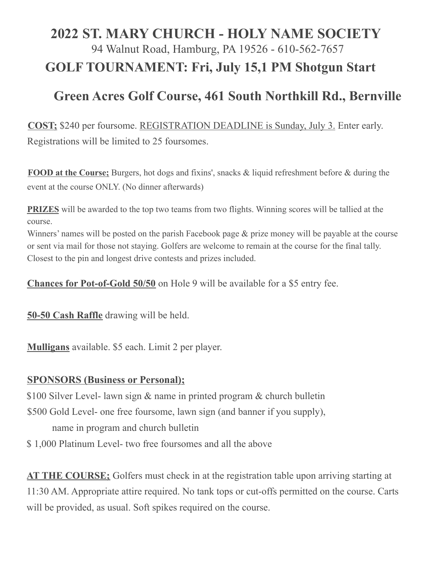## **2022 ST. MARY CHURCH - HOLY NAME SOCIETY** 94 Walnut Road, Hamburg, PA 19526 - 610-562-7657 **GOLF TOURNAMENT: Fri, July 15,1 PM Shotgun Start**

## **Green Acres Golf Course, 461 South Northkill Rd., Bernville**

**COST;** \$240 per foursome. REGISTRATION DEADLINE is Sunday, July 3. Enter early. Registrations will be limited to 25 foursomes.

**FOOD at the Course;** Burgers, hot dogs and fixins', snacks & liquid refreshment before & during the event at the course ONLY. (No dinner afterwards)

**PRIZES** will be awarded to the top two teams from two flights. Winning scores will be tallied at the course.

Winners' names will be posted on the parish Facebook page & prize money will be payable at the course or sent via mail for those not staying. Golfers are welcome to remain at the course for the final tally. Closest to the pin and longest drive contests and prizes included.

**Chances for Pot-of-Gold 50/50** on Hole 9 will be available for a \$5 entry fee.

**50-50 Cash Raffle** drawing will be held.

**Mulligans** available. \$5 each. Limit 2 per player.

## **SPONSORS (Business or Personal);**

\$100 Silver Level- lawn sign & name in printed program & church bulletin

\$500 Gold Level- one free foursome, lawn sign (and banner if you supply),

name in program and church bulletin

\$ 1,000 Platinum Level- two free foursomes and all the above

**AT THE COURSE;** Golfers must check in at the registration table upon arriving starting at 11:30 AM. Appropriate attire required. No tank tops or cut-offs permitted on the course. Carts will be provided, as usual. Soft spikes required on the course.